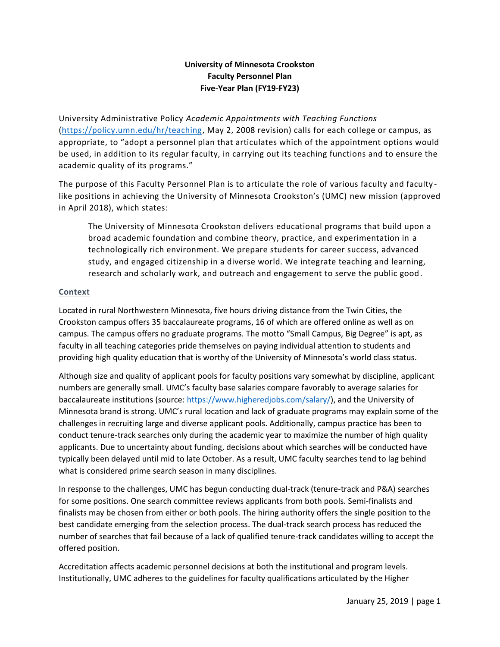# **University of Minnesota Crookston Faculty Personnel Plan Five-Year Plan (FY19-FY23)**

University Administrative Policy *Academic Appointments with Teaching Functions* [\(https://policy.umn.edu/hr/teaching,](https://policy.umn.edu/hr/teaching) May 2, 2008 revision) calls for each college or campus, as appropriate, to "adopt a personnel plan that articulates which of the appointment options would be used, in addition to its regular faculty, in carrying out its teaching functions and to ensure the academic quality of its programs."

The purpose of this Faculty Personnel Plan is to articulate the role of various faculty and faculty like positions in achieving the University of Minnesota Crookston's (UMC) new mission (approved in April 2018), which states:

The University of Minnesota Crookston delivers educational programs that build upon a broad academic foundation and combine theory, practice, and experimentation in a technologically rich environment. We prepare students for career success, advanced study, and engaged citizenship in a diverse world. We integrate teaching and learning, research and scholarly work, and outreach and engagement to serve the public good.

## **Context**

Located in rural Northwestern Minnesota, five hours driving distance from the Twin Cities, the Crookston campus offers 35 baccalaureate programs, 16 of which are offered online as well as on campus. The campus offers no graduate programs. The motto "Small Campus, Big Degree" is apt, as faculty in all teaching categories pride themselves on paying individual attention to students and providing high quality education that is worthy of the University of Minnesota's world class status.

Although size and quality of applicant pools for faculty positions vary somewhat by discipline, applicant numbers are generally small. UMC's faculty base salaries compare favorably to average salaries for baccalaureate institutions (source: [https://www.higheredjobs.com/salary/\)](https://www.higheredjobs.com/salary/), and the University of Minnesota brand is strong. UMC's rural location and lack of graduate programs may explain some of the challenges in recruiting large and diverse applicant pools. Additionally, campus practice has been to conduct tenure-track searches only during the academic year to maximize the number of high quality applicants. Due to uncertainty about funding, decisions about which searches will be conducted have typically been delayed until mid to late October. As a result, UMC faculty searches tend to lag behind what is considered prime search season in many disciplines.

In response to the challenges, UMC has begun conducting dual-track (tenure-track and P&A) searches for some positions. One search committee reviews applicants from both pools. Semi-finalists and finalists may be chosen from either or both pools. The hiring authority offers the single position to the best candidate emerging from the selection process. The dual-track search process has reduced the number of searches that fail because of a lack of qualified tenure-track candidates willing to accept the offered position.

Accreditation affects academic personnel decisions at both the institutional and program levels. Institutionally, UMC adheres to the guidelines for faculty qualifications articulated by the Higher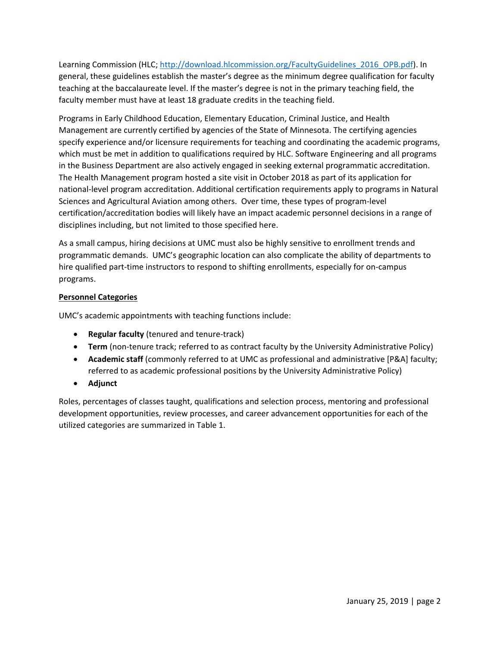Learning Commission (HLC; [http://download.hlcommission.org/FacultyGuidelines\\_2016\\_OPB.pdf\)](http://download.hlcommission.org/FacultyGuidelines_2016_OPB.pdf). In general, these guidelines establish the master's degree as the minimum degree qualification for faculty teaching at the baccalaureate level. If the master's degree is not in the primary teaching field, the faculty member must have at least 18 graduate credits in the teaching field.

Programs in Early Childhood Education, Elementary Education, Criminal Justice, and Health Management are currently certified by agencies of the State of Minnesota. The certifying agencies specify experience and/or licensure requirements for teaching and coordinating the academic programs, which must be met in addition to qualifications required by HLC. Software Engineering and all programs in the Business Department are also actively engaged in seeking external programmatic accreditation. The Health Management program hosted a site visit in October 2018 as part of its application for national-level program accreditation. Additional certification requirements apply to programs in Natural Sciences and Agricultural Aviation among others. Over time, these types of program-level certification/accreditation bodies will likely have an impact academic personnel decisions in a range of disciplines including, but not limited to those specified here.

As a small campus, hiring decisions at UMC must also be highly sensitive to enrollment trends and programmatic demands. UMC's geographic location can also complicate the ability of departments to hire qualified part-time instructors to respond to shifting enrollments, especially for on-campus programs.

### **Personnel Categories**

UMC's academic appointments with teaching functions include:

- **Regular faculty** (tenured and tenure-track)
- **Term** (non-tenure track; referred to as contract faculty by the University Administrative Policy)
- **Academic staff** (commonly referred to at UMC as professional and administrative [P&A] faculty; referred to as academic professional positions by the University Administrative Policy)
- **Adjunct**

Roles, percentages of classes taught, qualifications and selection process, mentoring and professional development opportunities, review processes, and career advancement opportunities for each of the utilized categories are summarized in Table 1.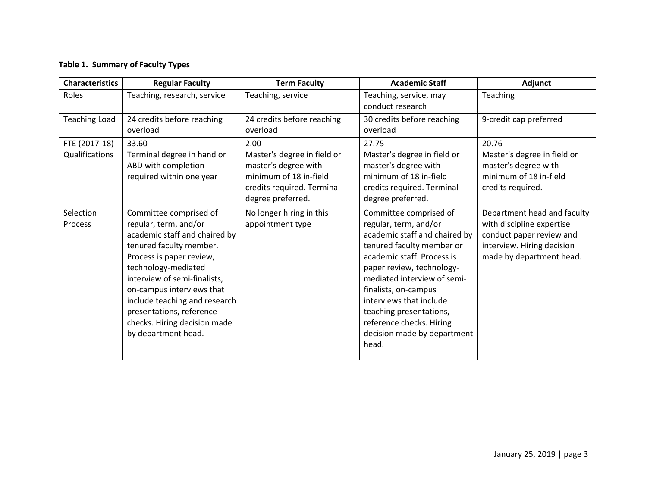## **Table 1. Summary of Faculty Types**

| <b>Characteristics</b>      | <b>Regular Faculty</b>                                                                                                                                                                                                                                                                                                                          | <b>Term Faculty</b>                                                                                                              | <b>Academic Staff</b>                                                                                                                                                                                                                                                                                                                                     | Adjunct                                                                                                                                        |
|-----------------------------|-------------------------------------------------------------------------------------------------------------------------------------------------------------------------------------------------------------------------------------------------------------------------------------------------------------------------------------------------|----------------------------------------------------------------------------------------------------------------------------------|-----------------------------------------------------------------------------------------------------------------------------------------------------------------------------------------------------------------------------------------------------------------------------------------------------------------------------------------------------------|------------------------------------------------------------------------------------------------------------------------------------------------|
| Roles                       | Teaching, research, service                                                                                                                                                                                                                                                                                                                     | Teaching, service                                                                                                                | Teaching, service, may<br>conduct research                                                                                                                                                                                                                                                                                                                | Teaching                                                                                                                                       |
| <b>Teaching Load</b>        | 24 credits before reaching<br>overload                                                                                                                                                                                                                                                                                                          | 24 credits before reaching<br>overload                                                                                           | 30 credits before reaching<br>overload                                                                                                                                                                                                                                                                                                                    | 9-credit cap preferred                                                                                                                         |
| FTE (2017-18)               | 33.60                                                                                                                                                                                                                                                                                                                                           | 2.00                                                                                                                             | 27.75                                                                                                                                                                                                                                                                                                                                                     | 20.76                                                                                                                                          |
| Qualifications              | Terminal degree in hand or<br>ABD with completion<br>required within one year                                                                                                                                                                                                                                                                   | Master's degree in field or<br>master's degree with<br>minimum of 18 in-field<br>credits required. Terminal<br>degree preferred. | Master's degree in field or<br>master's degree with<br>minimum of 18 in-field<br>credits required. Terminal<br>degree preferred.                                                                                                                                                                                                                          | Master's degree in field or<br>master's degree with<br>minimum of 18 in-field<br>credits required.                                             |
| Selection<br><b>Process</b> | Committee comprised of<br>regular, term, and/or<br>academic staff and chaired by<br>tenured faculty member.<br>Process is paper review,<br>technology-mediated<br>interview of semi-finalists,<br>on-campus interviews that<br>include teaching and research<br>presentations, reference<br>checks. Hiring decision made<br>by department head. | No longer hiring in this<br>appointment type                                                                                     | Committee comprised of<br>regular, term, and/or<br>academic staff and chaired by<br>tenured faculty member or<br>academic staff. Process is<br>paper review, technology-<br>mediated interview of semi-<br>finalists, on-campus<br>interviews that include<br>teaching presentations,<br>reference checks. Hiring<br>decision made by department<br>head. | Department head and faculty<br>with discipline expertise<br>conduct paper review and<br>interview. Hiring decision<br>made by department head. |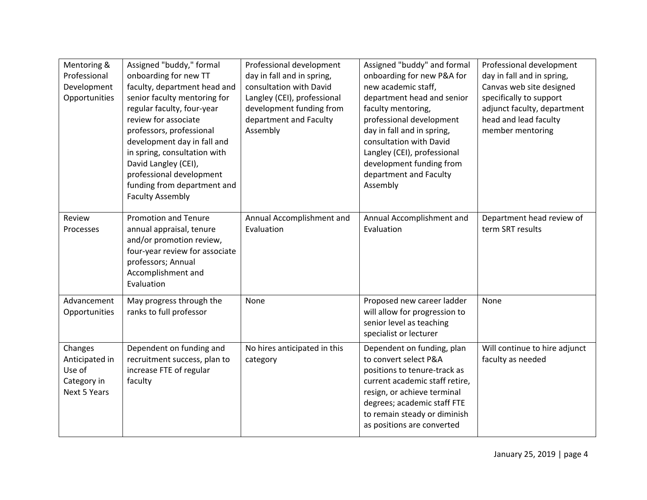| Mentoring &<br>Professional<br>Development<br>Opportunities               | Assigned "buddy," formal<br>onboarding for new TT<br>faculty, department head and<br>senior faculty mentoring for<br>regular faculty, four-year<br>review for associate<br>professors, professional<br>development day in fall and<br>in spring, consultation with<br>David Langley (CEI),<br>professional development<br>funding from department and<br><b>Faculty Assembly</b> | Professional development<br>day in fall and in spring,<br>consultation with David<br>Langley (CEI), professional<br>development funding from<br>department and Faculty<br>Assembly | Assigned "buddy" and formal<br>onboarding for new P&A for<br>new academic staff,<br>department head and senior<br>faculty mentoring,<br>professional development<br>day in fall and in spring,<br>consultation with David<br>Langley (CEI), professional<br>development funding from<br>department and Faculty<br>Assembly | Professional development<br>day in fall and in spring,<br>Canvas web site designed<br>specifically to support<br>adjunct faculty, department<br>head and lead faculty<br>member mentoring |
|---------------------------------------------------------------------------|----------------------------------------------------------------------------------------------------------------------------------------------------------------------------------------------------------------------------------------------------------------------------------------------------------------------------------------------------------------------------------|------------------------------------------------------------------------------------------------------------------------------------------------------------------------------------|----------------------------------------------------------------------------------------------------------------------------------------------------------------------------------------------------------------------------------------------------------------------------------------------------------------------------|-------------------------------------------------------------------------------------------------------------------------------------------------------------------------------------------|
| Review<br>Processes                                                       | <b>Promotion and Tenure</b><br>annual appraisal, tenure<br>and/or promotion review,<br>four-year review for associate<br>professors; Annual<br>Accomplishment and<br>Evaluation                                                                                                                                                                                                  | Annual Accomplishment and<br>Evaluation                                                                                                                                            | Annual Accomplishment and<br>Evaluation                                                                                                                                                                                                                                                                                    | Department head review of<br>term SRT results                                                                                                                                             |
| Advancement<br>Opportunities                                              | May progress through the<br>ranks to full professor                                                                                                                                                                                                                                                                                                                              | None                                                                                                                                                                               | Proposed new career ladder<br>will allow for progression to<br>senior level as teaching<br>specialist or lecturer                                                                                                                                                                                                          | None                                                                                                                                                                                      |
| Changes<br>Anticipated in<br>Use of<br>Category in<br><b>Next 5 Years</b> | Dependent on funding and<br>recruitment success, plan to<br>increase FTE of regular<br>faculty                                                                                                                                                                                                                                                                                   | No hires anticipated in this<br>category                                                                                                                                           | Dependent on funding, plan<br>to convert select P&A<br>positions to tenure-track as<br>current academic staff retire,<br>resign, or achieve terminal<br>degrees; academic staff FTE<br>to remain steady or diminish<br>as positions are converted                                                                          | Will continue to hire adjunct<br>faculty as needed                                                                                                                                        |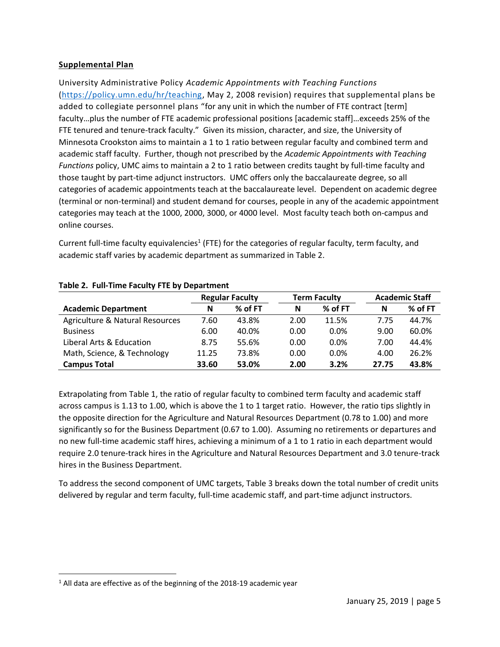### **Supplemental Plan**

University Administrative Policy *Academic Appointments with Teaching Functions* [\(https://policy.umn.edu/hr/teaching,](https://policy.umn.edu/hr/teaching) May 2, 2008 revision) requires that supplemental plans be added to collegiate personnel plans "for any unit in which the number of FTE contract [term] faculty…plus the number of FTE academic professional positions [academic staff]…exceeds 25% of the FTE tenured and tenure-track faculty." Given its mission, character, and size, the University of Minnesota Crookston aims to maintain a 1 to 1 ratio between regular faculty and combined term and academic staff faculty. Further, though not prescribed by the *Academic Appointments with Teaching Functions* policy, UMC aims to maintain a 2 to 1 ratio between credits taught by full-time faculty and those taught by part-time adjunct instructors. UMC offers only the baccalaureate degree, so all categories of academic appointments teach at the baccalaureate level. Dependent on academic degree (terminal or non-terminal) and student demand for courses, people in any of the academic appointment categories may teach at the 1000, 2000, 3000, or 4000 level. Most faculty teach both on-campus and online courses.

Current full-time faculty equivalencies<sup>1</sup> (FTE) for the categories of regular faculty, term faculty, and academic staff varies by academic department as summarized in Table 2.

|                                 | <b>Regular Faculty</b> |         | <b>Term Faculty</b> |         | <b>Academic Staff</b> |         |
|---------------------------------|------------------------|---------|---------------------|---------|-----------------------|---------|
| <b>Academic Department</b>      | N                      | % of FT | N                   | % of FT | N                     | % of FT |
| Agriculture & Natural Resources | 7.60                   | 43.8%   | 2.00                | 11.5%   | 7.75                  | 44.7%   |
| <b>Business</b>                 | 6.00                   | 40.0%   | 0.00                | $0.0\%$ | 9.00                  | 60.0%   |
| Liberal Arts & Education        | 8.75                   | 55.6%   | 0.00                | $0.0\%$ | 7.00                  | 44.4%   |
| Math, Science, & Technology     | 11.25                  | 73.8%   | 0.00                | $0.0\%$ | 4.00                  | 26.2%   |
| <b>Campus Total</b>             | 33.60                  | 53.0%   | 2.00                | 3.2%    | 27.75                 | 43.8%   |

#### **Table 2. Full-Time Faculty FTE by Department**

Extrapolating from Table 1, the ratio of regular faculty to combined term faculty and academic staff across campus is 1.13 to 1.00, which is above the 1 to 1 target ratio. However, the ratio tips slightly in the opposite direction for the Agriculture and Natural Resources Department (0.78 to 1.00) and more significantly so for the Business Department (0.67 to 1.00). Assuming no retirements or departures and no new full-time academic staff hires, achieving a minimum of a 1 to 1 ratio in each department would require 2.0 tenure-track hires in the Agriculture and Natural Resources Department and 3.0 tenure-track hires in the Business Department.

To address the second component of UMC targets, Table 3 breaks down the total number of credit units delivered by regular and term faculty, full-time academic staff, and part-time adjunct instructors.

 $\overline{a}$ 

<sup>&</sup>lt;sup>1</sup> All data are effective as of the beginning of the 2018-19 academic year